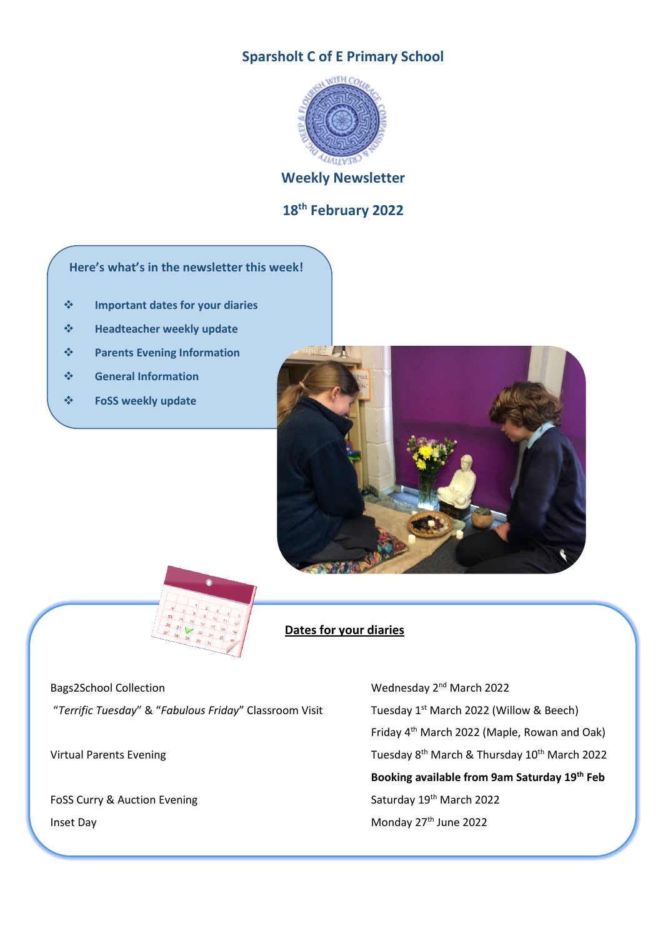# **Sparsholt C of E Primary School**



## **Weekly Newsletter**

## **18 th February 2022**

### **Here's what's in the newsletter this week!**

- ❖ **Important dates for your diaries**
- ❖ **Headteacher weekly update**
- ❖ **Parents Evening Information**
- ❖ **General Information**
- ❖ **FoSS weekly update**





### **Dates for your diaries**

"*Terrific Tuesday*" & "*Fabulous Friday*" Classroom Visit Tuesday 1st March 2022 (Willow & Beech)

Bags2School Collection **Exercise 2022** Wednesday 2<sup>nd</sup> March 2022 Friday 4th March 2022 (Maple, Rowan and Oak) Virtual Parents Evening Tuesday 8<sup>th</sup> March & Thursday 10<sup>th</sup> March 2022 **Booking available from 9am Saturday 19th Feb** FoSS Curry & Auction Evening Saturday 19th March 2022 Inset Day **Monday 27<sup>th</sup> June 2022**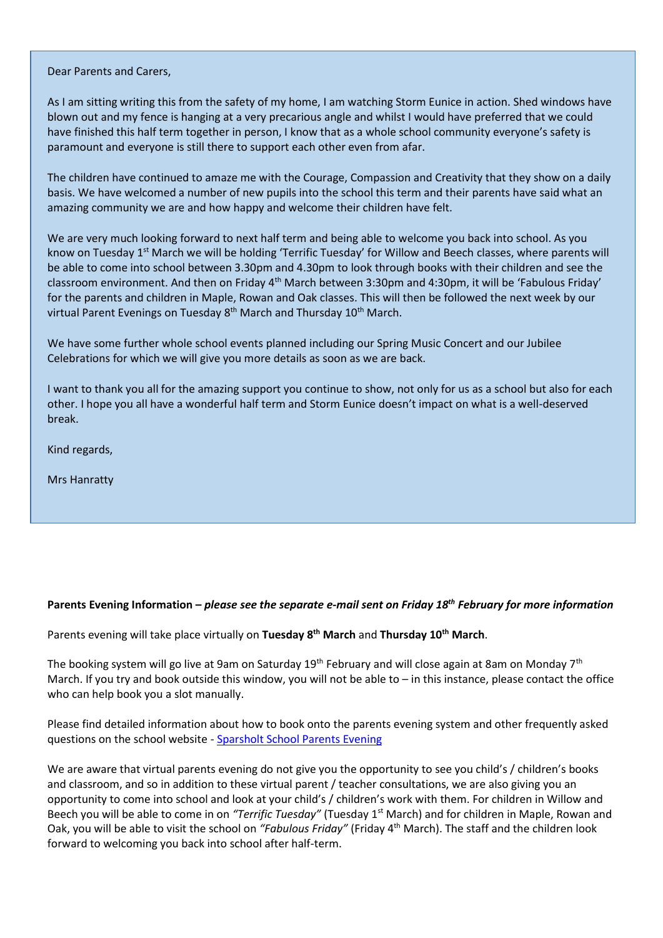Dear Parents and Carers,

As I am sitting writing this from the safety of my home, I am watching Storm Eunice in action. Shed windows have blown out and my fence is hanging at a very precarious angle and whilst I would have preferred that we could have finished this half term together in person, I know that as a whole school community everyone's safety is paramount and everyone is still there to support each other even from afar.

The children have continued to amaze me with the Courage, Compassion and Creativity that they show on a daily basis. We have welcomed a number of new pupils into the school this term and their parents have said what an amazing community we are and how happy and welcome their children have felt.

We are very much looking forward to next half term and being able to welcome you back into school. As you know on Tuesday 1<sup>st</sup> March we will be holding 'Terrific Tuesday' for Willow and Beech classes, where parents will be able to come into school between 3.30pm and 4.30pm to look through books with their children and see the classroom environment. And then on Friday 4th March between 3:30pm and 4:30pm, it will be 'Fabulous Friday' for the parents and children in Maple, Rowan and Oak classes. This will then be followed the next week by our virtual Parent Evenings on Tuesday 8<sup>th</sup> March and Thursday 10<sup>th</sup> March.

We have some further whole school events planned including our Spring Music Concert and our Jubilee Celebrations for which we will give you more details as soon as we are back.

I want to thank you all for the amazing support you continue to show, not only for us as a school but also for each other. I hope you all have a wonderful half term and Storm Eunice doesn't impact on what is a well-deserved break.

Kind regards,

Mrs Hanratty

### **Parents Evening Information –** *please see the separate e-mail sent on Friday 18 th February for more information*

Parents evening will take place virtually on **Tuesday 8th March** and **Thursday 10th March**.

The booking system will go live at 9am on Saturday 19<sup>th</sup> February and will close again at 8am on Monday 7<sup>th</sup> March. If you try and book outside this window, you will not be able to – in this instance, please contact the office who can help book you a slot manually.

Please find detailed information about how to book onto the parents evening system and other frequently asked questions on the school website - [Sparsholt School Parents Evening](https://www.sparsholt.hants.sch.uk/web/parents_evenings)

We are aware that virtual parents evening do not give you the opportunity to see you child's / children's books and classroom, and so in addition to these virtual parent / teacher consultations, we are also giving you an opportunity to come into school and look at your child's / children's work with them. For children in Willow and Beech you will be able to come in on *"Terrific Tuesday"* (Tuesday 1st March) and for children in Maple, Rowan and Oak, you will be able to visit the school on *"Fabulous Friday"* (Friday 4th March). The staff and the children look forward to welcoming you back into school after half-term.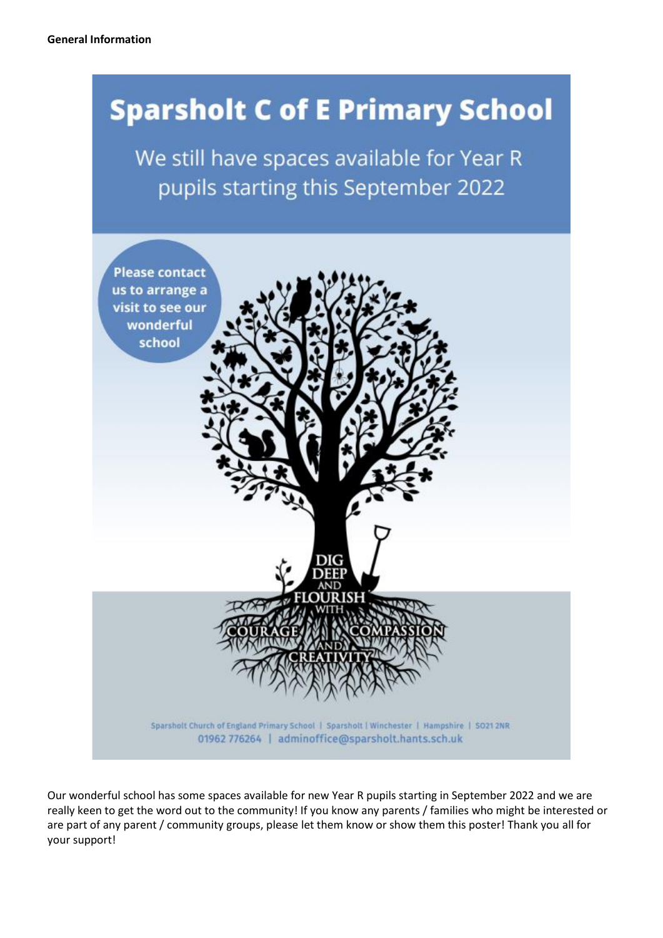# **Sparsholt C of E Primary School**

We still have spaces available for Year R pupils starting this September 2022



Our wonderful school has some spaces available for new Year R pupils starting in September 2022 and we are really keen to get the word out to the community! If you know any parents / families who might be interested or are part of any parent / community groups, please let them know or show them this poster! Thank you all for your support!